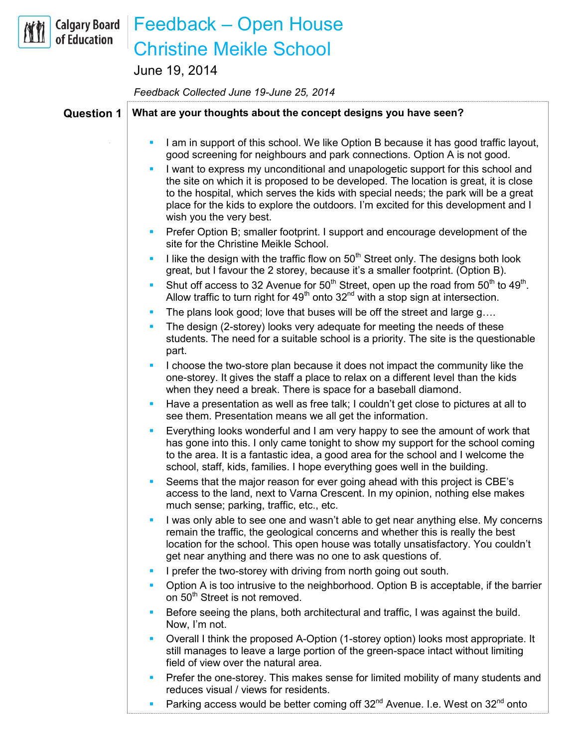## **Calgary Board** of Education

## Feedback – Open House Christine Meikle School

June 19, 2014

*Feedback Collected June 19-June 25, 2014*

## **Question 1 What are your thoughts about the concept designs you have seen?** I am in support of this school. We like Option B because it has good traffic layout, good screening for neighbours and park connections. Option A is not good. I want to express my unconditional and unapologetic support for this school and the site on which it is proposed to be developed. The location is great, it is close to the hospital, which serves the kids with special needs; the park will be a great place for the kids to explore the outdoors. I'm excited for this development and I wish you the very best. **Prefer Option B; smaller footprint. I support and encourage development of the** site for the Christine Meikle School. I like the design with the traffic flow on  $50<sup>th</sup>$  Street only. The designs both look great, but I favour the 2 storey, because it's a smaller footprint. (Option B). Shut off access to 32 Avenue for  $50<sup>th</sup>$  Street, open up the road from  $50<sup>th</sup>$  to  $49<sup>th</sup>$ . Allow traffic to turn right for  $49<sup>th</sup>$  onto  $32<sup>nd</sup>$  with a stop sign at intersection. The plans look good; love that buses will be off the street and large g…. The design (2-storey) looks very adequate for meeting the needs of these students. The need for a suitable school is a priority. The site is the questionable part. I choose the two-store plan because it does not impact the community like the one-storey. It gives the staff a place to relax on a different level than the kids when they need a break. There is space for a baseball diamond. Have a presentation as well as free talk; I couldn't get close to pictures at all to see them. Presentation means we all get the information. Everything looks wonderful and I am very happy to see the amount of work that has gone into this. I only came tonight to show my support for the school coming to the area. It is a fantastic idea, a good area for the school and I welcome the school, staff, kids, families. I hope everything goes well in the building. Seems that the major reason for ever going ahead with this project is CBE's access to the land, next to Varna Crescent. In my opinion, nothing else makes much sense; parking, traffic, etc., etc. I was only able to see one and wasn't able to get near anything else. My concerns remain the traffic, the geological concerns and whether this is really the best location for the school. This open house was totally unsatisfactory. You couldn't get near anything and there was no one to ask questions of. I prefer the two-storey with driving from north going out south. Option A is too intrusive to the neighborhood. Option B is acceptable, if the barrier on 50<sup>th</sup> Street is not removed. Before seeing the plans, both architectural and traffic, I was against the build. Now, I'm not. Overall I think the proposed A-Option (1-storey option) looks most appropriate. It still manages to leave a large portion of the green-space intact without limiting field of view over the natural area. Prefer the one-storey. This makes sense for limited mobility of many students and reduces visual / views for residents. Parking access would be better coming off  $32^{nd}$  Avenue. I.e. West on  $32^{nd}$  onto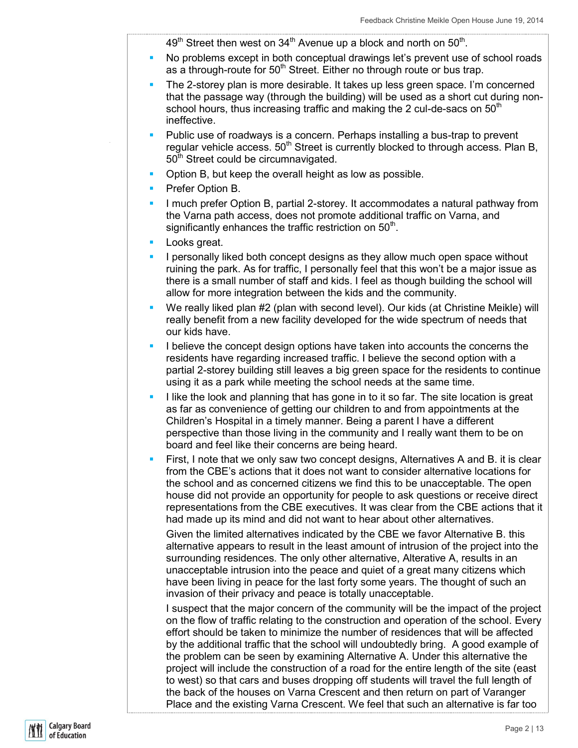$49<sup>th</sup>$  Street then west on  $34<sup>th</sup>$  Avenue up a block and north on  $50<sup>th</sup>$ .

- No problems except in both conceptual drawings let's prevent use of school roads as a through-route for  $50<sup>th</sup>$  Street. Either no through route or bus trap.
- The 2-storey plan is more desirable. It takes up less green space. I'm concerned that the passage way (through the building) will be used as a short cut during nonschool hours, thus increasing traffic and making the 2 cul-de-sacs on  $50<sup>th</sup>$ ineffective.
- Public use of roadways is a concern. Perhaps installing a bus-trap to prevent regular vehicle access. 50<sup>th</sup> Street is currently blocked to through access. Plan B,  $50<sup>th</sup>$  Street could be circumnavigated.
- **Option B, but keep the overall height as low as possible.**
- **Prefer Option B.**
- I much prefer Option B, partial 2-storey. It accommodates a natural pathway from the Varna path access, does not promote additional traffic on Varna, and significantly enhances the traffic restriction on  $50<sup>th</sup>$ .
- **Looks** great.
- I personally liked both concept designs as they allow much open space without ruining the park. As for traffic, I personally feel that this won't be a major issue as there is a small number of staff and kids. I feel as though building the school will allow for more integration between the kids and the community.
- We really liked plan #2 (plan with second level). Our kids (at Christine Meikle) will really benefit from a new facility developed for the wide spectrum of needs that our kids have.
- I believe the concept design options have taken into accounts the concerns the residents have regarding increased traffic. I believe the second option with a partial 2-storey building still leaves a big green space for the residents to continue using it as a park while meeting the school needs at the same time.
- I like the look and planning that has gone in to it so far. The site location is great as far as convenience of getting our children to and from appointments at the Children's Hospital in a timely manner. Being a parent I have a different perspective than those living in the community and I really want them to be on board and feel like their concerns are being heard.
- First, I note that we only saw two concept designs, Alternatives A and B. it is clear from the CBE's actions that it does not want to consider alternative locations for the school and as concerned citizens we find this to be unacceptable. The open house did not provide an opportunity for people to ask questions or receive direct representations from the CBE executives. It was clear from the CBE actions that it had made up its mind and did not want to hear about other alternatives.

Given the limited alternatives indicated by the CBE we favor Alternative B. this alternative appears to result in the least amount of intrusion of the project into the surrounding residences. The only other alternative, Alterative A, results in an unacceptable intrusion into the peace and quiet of a great many citizens which have been living in peace for the last forty some years. The thought of such an invasion of their privacy and peace is totally unacceptable.

I suspect that the major concern of the community will be the impact of the project on the flow of traffic relating to the construction and operation of the school. Every effort should be taken to minimize the number of residences that will be affected by the additional traffic that the school will undoubtedly bring. A good example of the problem can be seen by examining Alternative A. Under this alternative the project will include the construction of a road for the entire length of the site (east to west) so that cars and buses dropping off students will travel the full length of the back of the houses on Varna Crescent and then return on part of Varanger Place and the existing Varna Crescent. We feel that such an alternative is far too

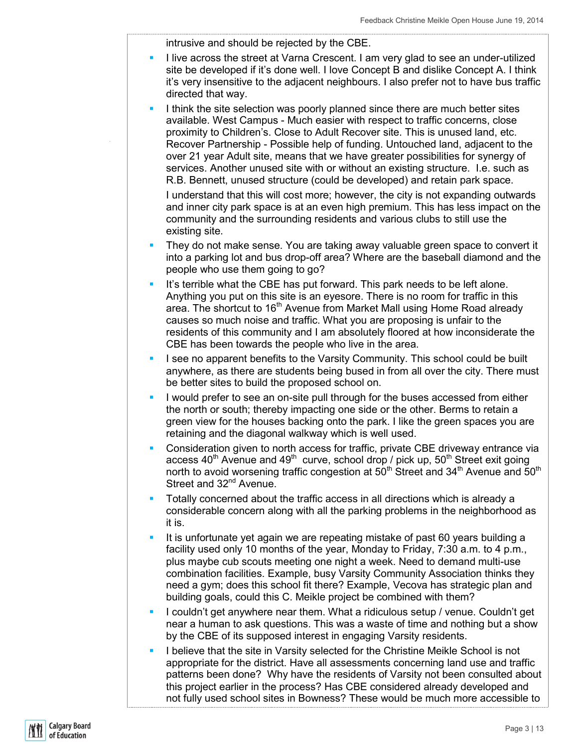intrusive and should be rejected by the CBE.

- I live across the street at Varna Crescent. I am very glad to see an under-utilized site be developed if it's done well. I love Concept B and dislike Concept A. I think it's very insensitive to the adjacent neighbours. I also prefer not to have bus traffic directed that way.
- I think the site selection was poorly planned since there are much better sites available. West Campus - Much easier with respect to traffic concerns, close proximity to Children's. Close to Adult Recover site. This is unused land, etc. Recover Partnership - Possible help of funding. Untouched land, adjacent to the over 21 year Adult site, means that we have greater possibilities for synergy of services. Another unused site with or without an existing structure. I.e. such as R.B. Bennett, unused structure (could be developed) and retain park space.

I understand that this will cost more; however, the city is not expanding outwards and inner city park space is at an even high premium. This has less impact on the community and the surrounding residents and various clubs to still use the existing site.

- **They do not make sense. You are taking away valuable green space to convert it** into a parking lot and bus drop-off area? Where are the baseball diamond and the people who use them going to go?
- It's terrible what the CBE has put forward. This park needs to be left alone. Anything you put on this site is an eyesore. There is no room for traffic in this area. The shortcut to 16<sup>th</sup> Avenue from Market Mall using Home Road already causes so much noise and traffic. What you are proposing is unfair to the residents of this community and I am absolutely floored at how inconsiderate the CBE has been towards the people who live in the area.
- I see no apparent benefits to the Varsity Community. This school could be built anywhere, as there are students being bused in from all over the city. There must be better sites to build the proposed school on.
- I would prefer to see an on-site pull through for the buses accessed from either the north or south; thereby impacting one side or the other. Berms to retain a green view for the houses backing onto the park. I like the green spaces you are retaining and the diagonal walkway which is well used.
- **Consideration given to north access for traffic, private CBE driveway entrance via** access  $40<sup>th</sup>$  Avenue and  $49<sup>th</sup>$  curve, school drop / pick up,  $50<sup>th</sup>$  Street exit going north to avoid worsening traffic congestion at 50<sup>th</sup> Street and 34<sup>th</sup> Avenue and 50<sup>th</sup> Street and 32<sup>nd</sup> Avenue.
- Totally concerned about the traffic access in all directions which is already a considerable concern along with all the parking problems in the neighborhood as it is.
- It is unfortunate yet again we are repeating mistake of past 60 years building a facility used only 10 months of the year, Monday to Friday, 7:30 a.m. to 4 p.m., plus maybe cub scouts meeting one night a week. Need to demand multi-use combination facilities. Example, busy Varsity Community Association thinks they need a gym; does this school fit there? Example, Vecova has strategic plan and building goals, could this C. Meikle project be combined with them?
- I couldn't get anywhere near them. What a ridiculous setup / venue. Couldn't get near a human to ask questions. This was a waste of time and nothing but a show by the CBE of its supposed interest in engaging Varsity residents.
- I believe that the site in Varsity selected for the Christine Meikle School is not appropriate for the district. Have all assessments concerning land use and traffic patterns been done? Why have the residents of Varsity not been consulted about this project earlier in the process? Has CBE considered already developed and not fully used school sites in Bowness? These would be much more accessible to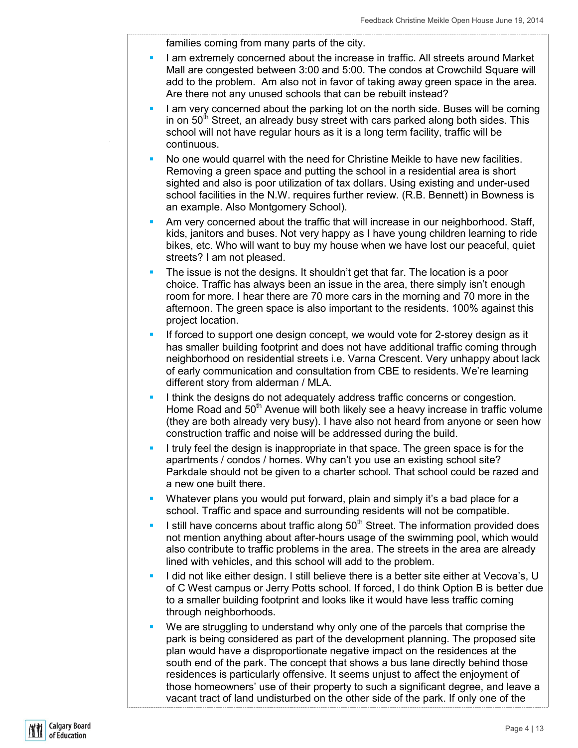families coming from many parts of the city.

- I am extremely concerned about the increase in traffic. All streets around Market Mall are congested between 3:00 and 5:00. The condos at Crowchild Square will add to the problem. Am also not in favor of taking away green space in the area. Are there not any unused schools that can be rebuilt instead?
- I am very concerned about the parking lot on the north side. Buses will be coming in on  $50<sup>th</sup>$  Street, an already busy street with cars parked along both sides. This school will not have regular hours as it is a long term facility, traffic will be continuous.
- No one would quarrel with the need for Christine Meikle to have new facilities. Removing a green space and putting the school in a residential area is short sighted and also is poor utilization of tax dollars. Using existing and under-used school facilities in the N.W. requires further review. (R.B. Bennett) in Bowness is an example. Also Montgomery School).
- Am very concerned about the traffic that will increase in our neighborhood. Staff, kids, janitors and buses. Not very happy as I have young children learning to ride bikes, etc. Who will want to buy my house when we have lost our peaceful, quiet streets? I am not pleased.
- The issue is not the designs. It shouldn't get that far. The location is a poor choice. Traffic has always been an issue in the area, there simply isn't enough room for more. I hear there are 70 more cars in the morning and 70 more in the afternoon. The green space is also important to the residents. 100% against this project location.
- If forced to support one design concept, we would vote for 2-storey design as it has smaller building footprint and does not have additional traffic coming through neighborhood on residential streets i.e. Varna Crescent. Very unhappy about lack of early communication and consultation from CBE to residents. We're learning different story from alderman / MLA.
- I think the designs do not adequately address traffic concerns or congestion. Home Road and 50<sup>th</sup> Avenue will both likely see a heavy increase in traffic volume (they are both already very busy). I have also not heard from anyone or seen how construction traffic and noise will be addressed during the build.
- I truly feel the design is inappropriate in that space. The green space is for the apartments / condos / homes. Why can't you use an existing school site? Parkdale should not be given to a charter school. That school could be razed and a new one built there.
- **Whatever plans you would put forward, plain and simply it's a bad place for a** school. Traffic and space and surrounding residents will not be compatible.
- I still have concerns about traffic along  $50<sup>th</sup>$  Street. The information provided does not mention anything about after-hours usage of the swimming pool, which would also contribute to traffic problems in the area. The streets in the area are already lined with vehicles, and this school will add to the problem.
- I did not like either design. I still believe there is a better site either at Vecova's, U of C West campus or Jerry Potts school. If forced, I do think Option B is better due to a smaller building footprint and looks like it would have less traffic coming through neighborhoods.
- We are struggling to understand why only one of the parcels that comprise the park is being considered as part of the development planning. The proposed site plan would have a disproportionate negative impact on the residences at the south end of the park. The concept that shows a bus lane directly behind those residences is particularly offensive. It seems unjust to affect the enjoyment of those homeowners' use of their property to such a significant degree, and leave a vacant tract of land undisturbed on the other side of the park. If only one of the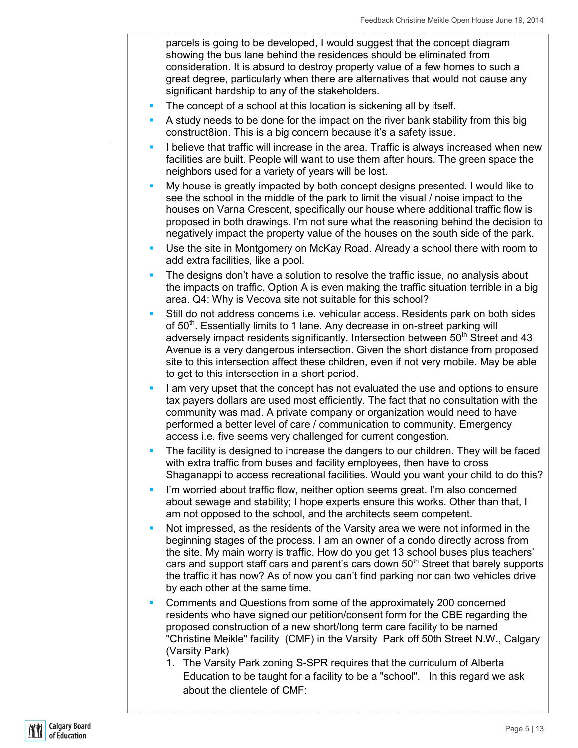parcels is going to be developed, I would suggest that the concept diagram showing the bus lane behind the residences should be eliminated from consideration. It is absurd to destroy property value of a few homes to such a great degree, particularly when there are alternatives that would not cause any significant hardship to any of the stakeholders.

- The concept of a school at this location is sickening all by itself.
- A study needs to be done for the impact on the river bank stability from this big construct8ion. This is a big concern because it's a safety issue.
- I believe that traffic will increase in the area. Traffic is always increased when new facilities are built. People will want to use them after hours. The green space the neighbors used for a variety of years will be lost.
- My house is greatly impacted by both concept designs presented. I would like to see the school in the middle of the park to limit the visual / noise impact to the houses on Varna Crescent, specifically our house where additional traffic flow is proposed in both drawings. I'm not sure what the reasoning behind the decision to negatively impact the property value of the houses on the south side of the park.
- Use the site in Montgomery on McKay Road. Already a school there with room to add extra facilities, like a pool.
- The designs don't have a solution to resolve the traffic issue, no analysis about the impacts on traffic. Option A is even making the traffic situation terrible in a big area. Q4: Why is Vecova site not suitable for this school?
- Still do not address concerns i.e. vehicular access. Residents park on both sides of 50<sup>th</sup>. Essentially limits to 1 lane. Any decrease in on-street parking will adversely impact residents significantly. Intersection between 50<sup>th</sup> Street and 43 Avenue is a very dangerous intersection. Given the short distance from proposed site to this intersection affect these children, even if not very mobile. May be able to get to this intersection in a short period.
- I am very upset that the concept has not evaluated the use and options to ensure tax payers dollars are used most efficiently. The fact that no consultation with the community was mad. A private company or organization would need to have performed a better level of care / communication to community. Emergency access i.e. five seems very challenged for current congestion.
- The facility is designed to increase the dangers to our children. They will be faced with extra traffic from buses and facility employees, then have to cross Shaganappi to access recreational facilities. Would you want your child to do this?
- I'm worried about traffic flow, neither option seems great. I'm also concerned about sewage and stability; I hope experts ensure this works. Other than that, I am not opposed to the school, and the architects seem competent.
- Not impressed, as the residents of the Varsity area we were not informed in the beginning stages of the process. I am an owner of a condo directly across from the site. My main worry is traffic. How do you get 13 school buses plus teachers' cars and support staff cars and parent's cars down  $50<sup>th</sup>$  Street that barely supports the traffic it has now? As of now you can't find parking nor can two vehicles drive by each other at the same time.
- Comments and Questions from some of the approximately 200 concerned residents who have signed our petition/consent form for the CBE regarding the proposed construction of a new short/long term care facility to be named "Christine Meikle" facility (CMF) in the Varsity Park off 50th Street N.W., Calgary (Varsity Park)
	- 1. The Varsity Park zoning S-SPR requires that the curriculum of Alberta Education to be taught for a facility to be a "school". In this regard we ask about the clientele of CMF: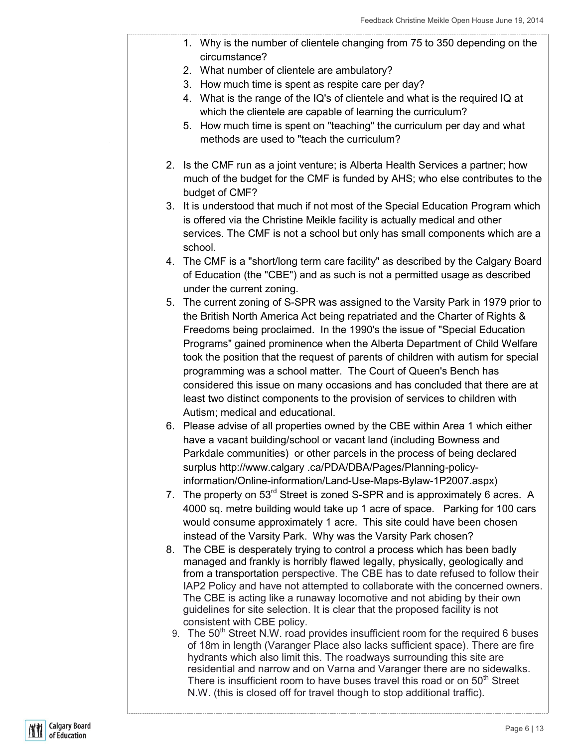- 1. Why is the number of clientele changing from 75 to 350 depending on the circumstance?
	- 2. What number of clientele are ambulatory?
- 3. How much time is spent as respite care per day?
- 4. What is the range of the IQ's of clientele and what is the required IQ at which the clientele are capable of learning the curriculum?
- 5. How much time is spent on "teaching" the curriculum per day and what methods are used to "teach the curriculum?
- 2. Is the CMF run as a joint venture; is Alberta Health Services a partner; how much of the budget for the CMF is funded by AHS; who else contributes to the budget of CMF?
- 3. It is understood that much if not most of the Special Education Program which is offered via the Christine Meikle facility is actually medical and other services. The CMF is not a school but only has small components which are a school.
- 4. The CMF is a "short/long term care facility" as described by the Calgary Board of Education (the "CBE") and as such is not a permitted usage as described under the current zoning.
- 5. The current zoning of S-SPR was assigned to the Varsity Park in 1979 prior to the British North America Act being repatriated and the Charter of Rights & Freedoms being proclaimed. In the 1990's the issue of "Special Education Programs" gained prominence when the Alberta Department of Child Welfare took the position that the request of parents of children with autism for special programming was a school matter. The Court of Queen's Bench has considered this issue on many occasions and has concluded that there are at least two distinct components to the provision of services to children with Autism; medical and educational.
- 6. Please advise of all properties owned by the CBE within Area 1 which either have a vacant building/school or vacant land (including Bowness and Parkdale communities) or other parcels in the process of being declared surplus http://www.calgary .ca/PDA/DBA/Pages/Planning-policyinformation/Online-information/Land-Use-Maps-Bylaw-1P2007.aspx)
- 7. The property on 53<sup>rd</sup> Street is zoned S-SPR and is approximately 6 acres. A 4000 sq. metre building would take up 1 acre of space. Parking for 100 cars would consume approximately 1 acre. This site could have been chosen instead of the Varsity Park. Why was the Varsity Park chosen?
- 8. The CBE is desperately trying to control a process which has been badly managed and frankly is horribly flawed legally, physically, geologically and from a transportation perspective. The CBE has to date refused to follow their IAP2 Policy and have not attempted to collaborate with the concerned owners. The CBE is acting like a runaway locomotive and not abiding by their own guidelines for site selection. It is clear that the proposed facility is not consistent with CBE policy.
	- 9. The  $50<sup>th</sup>$  Street N.W. road provides insufficient room for the required 6 buses of 18m in length (Varanger Place also lacks sufficient space). There are fire hydrants which also limit this. The roadways surrounding this site are residential and narrow and on Varna and Varanger there are no sidewalks. There is insufficient room to have buses travel this road or on  $50<sup>th</sup>$  Street N.W. (this is closed off for travel though to stop additional traffic).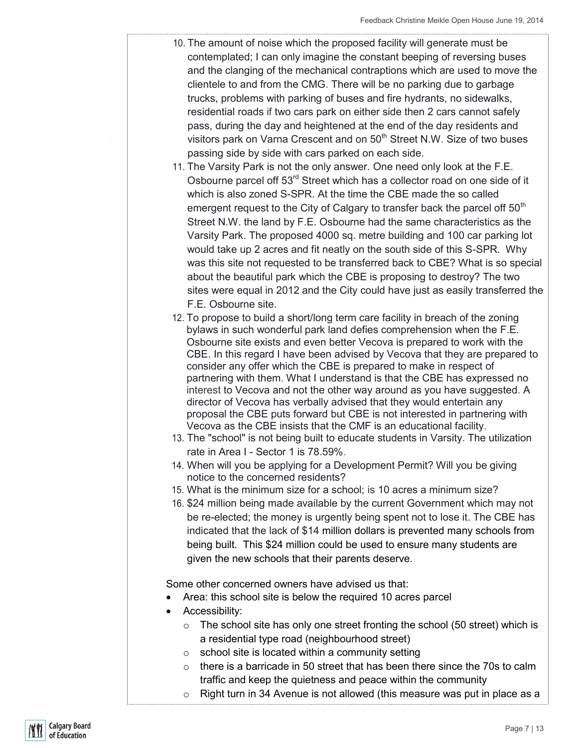- 10. The amount of noise which the proposed facility will generate must be contemplated; I can only imagine the constant beeping of reversing buses and the clanging of the mechanical contraptions which are used to move the clientele to and from the CMG. There will be no parking due to garbage trucks, problems with parking of buses and fire hydrants, no sidewalks, residential roads if two cars park on either side then 2 cars cannot safely pass, during the day and heightened at the end of the day residents and visitors park on Varna Crescent and on 50<sup>th</sup> Street N.W. Size of two buses passing side by side with cars parked on each side.
- 11. The Varsity Park is not the only answer. One need only look at the F.E. Osbourne parcel off 53<sup>rd</sup> Street which has a collector road on one side of it which is also zoned S-SPR. At the time the CBE made the so called emergent request to the City of Calgary to transfer back the parcel off  $50<sup>th</sup>$ Street N.W. the land by F.E. Osbourne had the same characteristics as the Varsity Park. The proposed 4000 sq. metre building and 100 car parking lot would take up 2 acres and fit neatly on the south side of this S-SPR. Why was this site not requested to be transferred back to CBE? What is so special about the beautiful park which the CBE is proposing to destroy? The two sites were equal in 2012 and the City could have just as easily transferred the F.E. Osbourne site.
- 12. To propose to build a short/long term care facility in breach of the zoning bylaws in such wonderful park land defies comprehension when the F.E. Osbourne site exists and even better Vecova is prepared to work with the CBE. In this regard I have been advised by Vecova that they are prepared to consider any offer which the CBE is prepared to make in respect of partnering with them. What I understand is that the CBE has expressed no interest to Vecova and not the other way around as you have suggested. A director of Vecova has verbally advised that they would entertain any proposal the CBE puts forward but CBE is not interested in partnering with Vecova as the CBE insists that the CMF is an educational facility.
- 13. The "school" is not being built to educate students in Varsity. The utilization rate in Area I - Sector 1 is 78.59%.
- 14. When will you be applying for a Development Permit? Will you be giving notice to the concerned residents?
- 15. What is the minimum size for a school; is 10 acres a minimum size?
- 16. \$24 million being made available by the current Government which may not be re-elected; the money is urgently being spent not to lose it. The CBE has indicated that the lack of \$14 million dollars is prevented many schools from being built. This \$24 million could be used to ensure many students are given the new schools that their parents deserve.

Some other concerned owners have advised us that:

- Area: this school site is below the required 10 acres parcel
- Accessibility:
	- $\circ$  The school site has only one street fronting the school (50 street) which is a residential type road (neighbourhood street)
	- o school site is located within a community setting
	- $\circ$  there is a barricade in 50 street that has been there since the 70s to calm traffic and keep the quietness and peace within the community
	- $\circ$  Right turn in 34 Avenue is not allowed (this measure was put in place as a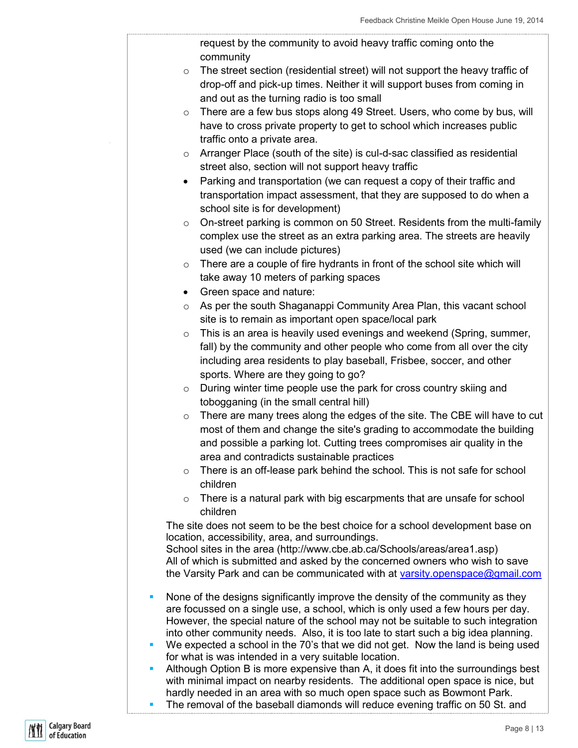request by the community to avoid heavy traffic coming onto the community

- o The street section (residential street) will not support the heavy traffic of drop-off and pick-up times. Neither it will support buses from coming in and out as the turning radio is too small
- o There are a few bus stops along 49 Street. Users, who come by bus, will have to cross private property to get to school which increases public traffic onto a private area.
- o Arranger Place (south of the site) is cul-d-sac classified as residential street also, section will not support heavy traffic
- Parking and transportation (we can request a copy of their traffic and transportation impact assessment, that they are supposed to do when a school site is for development)
- $\circ$  On-street parking is common on 50 Street. Residents from the multi-family complex use the street as an extra parking area. The streets are heavily used (we can include pictures)
- o There are a couple of fire hydrants in front of the school site which will take away 10 meters of parking spaces
- Green space and nature:
- o As per the south Shaganappi Community Area Plan, this vacant school site is to remain as important open space/local park
- o This is an area is heavily used evenings and weekend (Spring, summer, fall) by the community and other people who come from all over the city including area residents to play baseball, Frisbee, soccer, and other sports. Where are they going to go?
- o During winter time people use the park for cross country skiing and tobogganing (in the small central hill)
- $\circ$  There are many trees along the edges of the site. The CBE will have to cut most of them and change the site's grading to accommodate the building and possible a parking lot. Cutting trees compromises air quality in the area and contradicts sustainable practices
- o There is an off-lease park behind the school. This is not safe for school children
- o There is a natural park with big escarpments that are unsafe for school children

The site does not seem to be the best choice for a school development base on location, accessibility, area, and surroundings.

School sites in the area (http://www.cbe.ab.ca/Schools/areas/area1.asp) All of which is submitted and asked by the concerned owners who wish to save the Varsity Park and can be communicated with at [varsity.openspace@gmail.com](mailto:varsity.openspace@gmail.com)

- None of the designs significantly improve the density of the community as they are focussed on a single use, a school, which is only used a few hours per day. However, the special nature of the school may not be suitable to such integration into other community needs. Also, it is too late to start such a big idea planning.
- We expected a school in the 70's that we did not get. Now the land is being used for what is was intended in a very suitable location.
- Although Option B is more expensive than A, it does fit into the surroundings best with minimal impact on nearby residents. The additional open space is nice, but hardly needed in an area with so much open space such as Bowmont Park.
- The removal of the baseball diamonds will reduce evening traffic on 50 St. and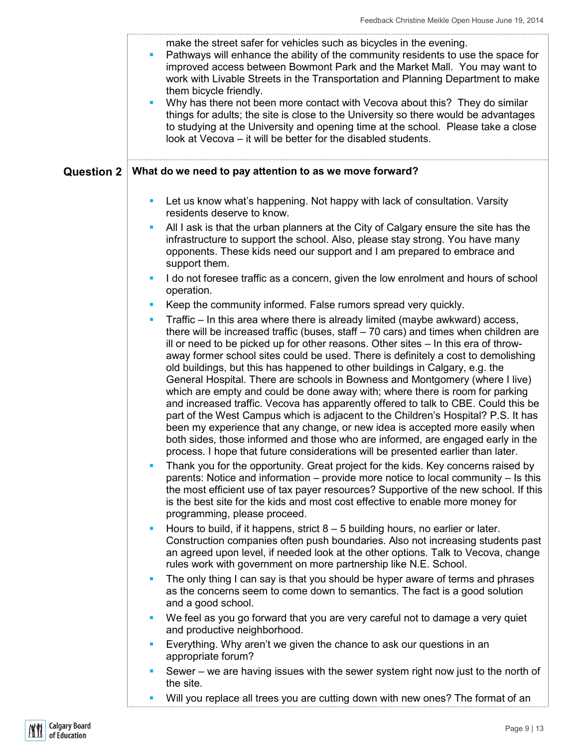|                   | make the street safer for vehicles such as bicycles in the evening.<br>Pathways will enhance the ability of the community residents to use the space for<br>improved access between Bowmont Park and the Market Mall. You may want to<br>work with Livable Streets in the Transportation and Planning Department to make<br>them bicycle friendly.<br>Why has there not been more contact with Vecova about this? They do similar<br>$\blacksquare$<br>things for adults; the site is close to the University so there would be advantages<br>to studying at the University and opening time at the school. Please take a close<br>look at Vecova – it will be better for the disabled students.                                                                                                                                                                                                                                                                                                                                                                                                                              |
|-------------------|-------------------------------------------------------------------------------------------------------------------------------------------------------------------------------------------------------------------------------------------------------------------------------------------------------------------------------------------------------------------------------------------------------------------------------------------------------------------------------------------------------------------------------------------------------------------------------------------------------------------------------------------------------------------------------------------------------------------------------------------------------------------------------------------------------------------------------------------------------------------------------------------------------------------------------------------------------------------------------------------------------------------------------------------------------------------------------------------------------------------------------|
| <b>Question 2</b> | What do we need to pay attention to as we move forward?                                                                                                                                                                                                                                                                                                                                                                                                                                                                                                                                                                                                                                                                                                                                                                                                                                                                                                                                                                                                                                                                       |
|                   | Let us know what's happening. Not happy with lack of consultation. Varsity<br>ш<br>residents deserve to know.                                                                                                                                                                                                                                                                                                                                                                                                                                                                                                                                                                                                                                                                                                                                                                                                                                                                                                                                                                                                                 |
|                   | All I ask is that the urban planners at the City of Calgary ensure the site has the<br>ш<br>infrastructure to support the school. Also, please stay strong. You have many<br>opponents. These kids need our support and I am prepared to embrace and<br>support them.                                                                                                                                                                                                                                                                                                                                                                                                                                                                                                                                                                                                                                                                                                                                                                                                                                                         |
|                   | I do not foresee traffic as a concern, given the low enrolment and hours of school<br>ш<br>operation.                                                                                                                                                                                                                                                                                                                                                                                                                                                                                                                                                                                                                                                                                                                                                                                                                                                                                                                                                                                                                         |
|                   | Keep the community informed. False rumors spread very quickly.                                                                                                                                                                                                                                                                                                                                                                                                                                                                                                                                                                                                                                                                                                                                                                                                                                                                                                                                                                                                                                                                |
|                   | Traffic – In this area where there is already limited (maybe awkward) access,<br>П<br>there will be increased traffic (buses, staff $-70$ cars) and times when children are<br>ill or need to be picked up for other reasons. Other sites - In this era of throw-<br>away former school sites could be used. There is definitely a cost to demolishing<br>old buildings, but this has happened to other buildings in Calgary, e.g. the<br>General Hospital. There are schools in Bowness and Montgomery (where I live)<br>which are empty and could be done away with; where there is room for parking<br>and increased traffic. Vecova has apparently offered to talk to CBE. Could this be<br>part of the West Campus which is adjacent to the Children's Hospital? P.S. It has<br>been my experience that any change, or new idea is accepted more easily when<br>both sides, those informed and those who are informed, are engaged early in the<br>process. I hope that future considerations will be presented earlier than later.<br>Thank you for the opportunity. Great project for the kids. Key concerns raised by |
|                   | parents: Notice and information – provide more notice to local community – Is this<br>the most efficient use of tax payer resources? Supportive of the new school. If this<br>is the best site for the kids and most cost effective to enable more money for<br>programming, please proceed.                                                                                                                                                                                                                                                                                                                                                                                                                                                                                                                                                                                                                                                                                                                                                                                                                                  |
|                   | Hours to build, if it happens, strict $8 - 5$ building hours, no earlier or later.<br>ш<br>Construction companies often push boundaries. Also not increasing students past<br>an agreed upon level, if needed look at the other options. Talk to Vecova, change<br>rules work with government on more partnership like N.E. School.                                                                                                                                                                                                                                                                                                                                                                                                                                                                                                                                                                                                                                                                                                                                                                                           |
|                   | The only thing I can say is that you should be hyper aware of terms and phrases<br>ш<br>as the concerns seem to come down to semantics. The fact is a good solution<br>and a good school.                                                                                                                                                                                                                                                                                                                                                                                                                                                                                                                                                                                                                                                                                                                                                                                                                                                                                                                                     |
|                   | We feel as you go forward that you are very careful not to damage a very quiet<br>ш<br>and productive neighborhood.                                                                                                                                                                                                                                                                                                                                                                                                                                                                                                                                                                                                                                                                                                                                                                                                                                                                                                                                                                                                           |
|                   | Everything. Why aren't we given the chance to ask our questions in an<br>appropriate forum?                                                                                                                                                                                                                                                                                                                                                                                                                                                                                                                                                                                                                                                                                                                                                                                                                                                                                                                                                                                                                                   |
|                   | Sewer – we are having issues with the sewer system right now just to the north of<br>the site.                                                                                                                                                                                                                                                                                                                                                                                                                                                                                                                                                                                                                                                                                                                                                                                                                                                                                                                                                                                                                                |
|                   | Will you replace all trees you are cutting down with new ones? The format of an<br>ш                                                                                                                                                                                                                                                                                                                                                                                                                                                                                                                                                                                                                                                                                                                                                                                                                                                                                                                                                                                                                                          |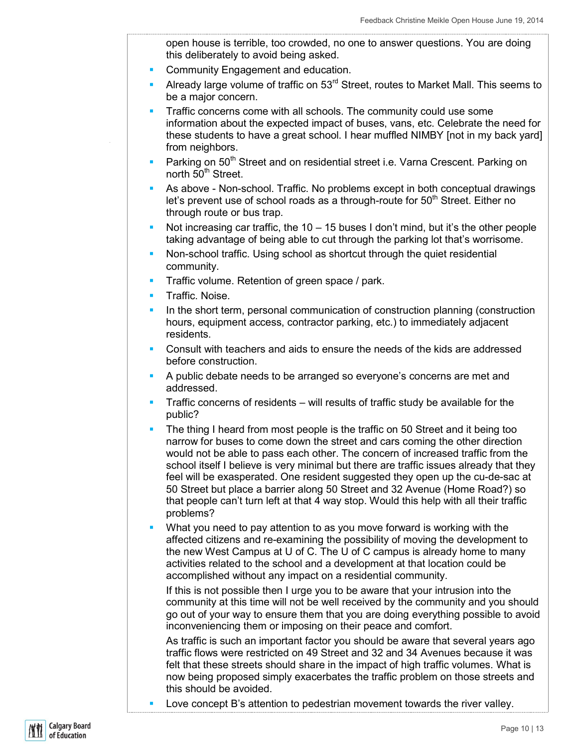open house is terrible, too crowded, no one to answer questions. You are doing this deliberately to avoid being asked.

- **Community Engagement and education.**
- Already large volume of traffic on  $53<sup>rd</sup>$  Street, routes to Market Mall. This seems to be a major concern.
- Traffic concerns come with all schools. The community could use some information about the expected impact of buses, vans, etc. Celebrate the need for these students to have a great school. I hear muffled NIMBY [not in my back yard] from neighbors.
- Parking on 50<sup>th</sup> Street and on residential street i.e. Varna Crescent. Parking on north 50<sup>th</sup> Street.
- As above Non-school. Traffic. No problems except in both conceptual drawings let's prevent use of school roads as a through-route for  $50<sup>th</sup>$  Street. Either no through route or bus trap.
- Not increasing car traffic, the  $10 15$  buses I don't mind, but it's the other people taking advantage of being able to cut through the parking lot that's worrisome.
- Non-school traffic. Using school as shortcut through the quiet residential community.
- **Traffic volume. Retention of green space / park.**
- **Traffic. Noise.**
- In the short term, personal communication of construction planning (construction hours, equipment access, contractor parking, etc.) to immediately adjacent residents.
- Consult with teachers and aids to ensure the needs of the kids are addressed before construction.
- A public debate needs to be arranged so everyone's concerns are met and addressed.
- Traffic concerns of residents will results of traffic study be available for the public?
- The thing I heard from most people is the traffic on 50 Street and it being too narrow for buses to come down the street and cars coming the other direction would not be able to pass each other. The concern of increased traffic from the school itself I believe is very minimal but there are traffic issues already that they feel will be exasperated. One resident suggested they open up the cu-de-sac at 50 Street but place a barrier along 50 Street and 32 Avenue (Home Road?) so that people can't turn left at that 4 way stop. Would this help with all their traffic problems?
- What you need to pay attention to as you move forward is working with the affected citizens and re-examining the possibility of moving the development to the new West Campus at U of C. The U of C campus is already home to many activities related to the school and a development at that location could be accomplished without any impact on a residential community.

If this is not possible then I urge you to be aware that your intrusion into the community at this time will not be well received by the community and you should go out of your way to ensure them that you are doing everything possible to avoid inconveniencing them or imposing on their peace and comfort.

As traffic is such an important factor you should be aware that several years ago traffic flows were restricted on 49 Street and 32 and 34 Avenues because it was felt that these streets should share in the impact of high traffic volumes. What is now being proposed simply exacerbates the traffic problem on those streets and this should be avoided.

Love concept B's attention to pedestrian movement towards the river valley.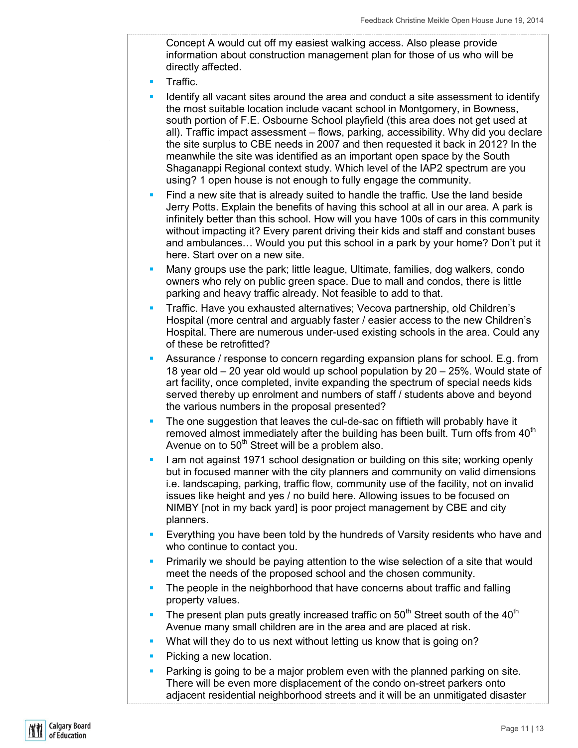Concept A would cut off my easiest walking access. Also please provide information about construction management plan for those of us who will be directly affected.

- **Traffic.**
- I dentify all vacant sites around the area and conduct a site assessment to identify the most suitable location include vacant school in Montgomery, in Bowness, south portion of F.E. Osbourne School playfield (this area does not get used at all). Traffic impact assessment – flows, parking, accessibility. Why did you declare the site surplus to CBE needs in 2007 and then requested it back in 2012? In the meanwhile the site was identified as an important open space by the South Shaganappi Regional context study. Which level of the IAP2 spectrum are you using? 1 open house is not enough to fully engage the community.
- Find a new site that is already suited to handle the traffic. Use the land beside Jerry Potts. Explain the benefits of having this school at all in our area. A park is infinitely better than this school. How will you have 100s of cars in this community without impacting it? Every parent driving their kids and staff and constant buses and ambulances… Would you put this school in a park by your home? Don't put it here. Start over on a new site.
- Many groups use the park; little league, Ultimate, families, dog walkers, condo owners who rely on public green space. Due to mall and condos, there is little parking and heavy traffic already. Not feasible to add to that.
- Traffic. Have you exhausted alternatives; Vecova partnership, old Children's Hospital (more central and arguably faster / easier access to the new Children's Hospital. There are numerous under-used existing schools in the area. Could any of these be retrofitted?
- Assurance / response to concern regarding expansion plans for school. E.g. from 18 year old – 20 year old would up school population by 20 – 25%. Would state of art facility, once completed, invite expanding the spectrum of special needs kids served thereby up enrolment and numbers of staff / students above and beyond the various numbers in the proposal presented?
- The one suggestion that leaves the cul-de-sac on fiftieth will probably have it removed almost immediately after the building has been built. Turn offs from  $40<sup>th</sup>$ Avenue on to  $50<sup>th</sup>$  Street will be a problem also.
- I am not against 1971 school designation or building on this site; working openly but in focused manner with the city planners and community on valid dimensions i.e. landscaping, parking, traffic flow, community use of the facility, not on invalid issues like height and yes / no build here. Allowing issues to be focused on NIMBY [not in my back yard] is poor project management by CBE and city planners.
- **Everything you have been told by the hundreds of Varsity residents who have and** who continue to contact you.
- **Primarily we should be paying attention to the wise selection of a site that would** meet the needs of the proposed school and the chosen community.
- The people in the neighborhood that have concerns about traffic and falling property values.
- The present plan puts greatly increased traffic on  $50<sup>th</sup>$  Street south of the  $40<sup>th</sup>$ Avenue many small children are in the area and are placed at risk.
- What will they do to us next without letting us know that is going on?
- **Picking a new location.**
- Parking is going to be a major problem even with the planned parking on site. There will be even more displacement of the condo on-street parkers onto adjacent residential neighborhood streets and it will be an unmitigated disaster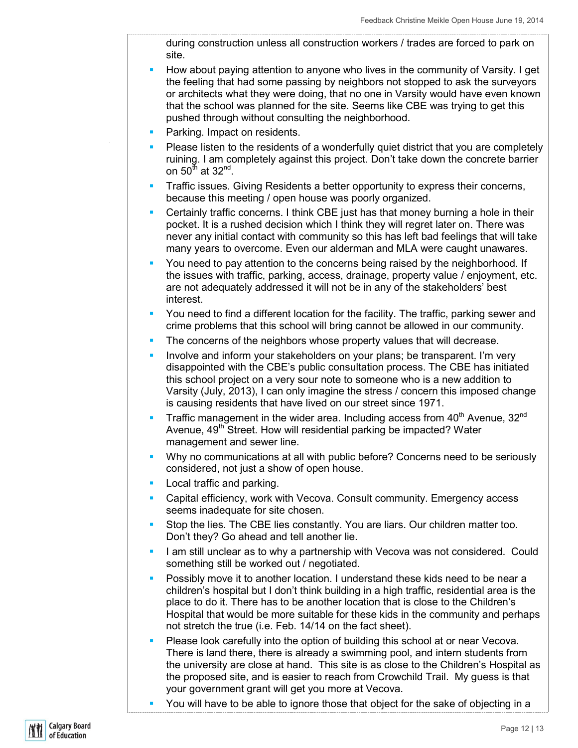during construction unless all construction workers / trades are forced to park on site.

- How about paying attention to anyone who lives in the community of Varsity. I get the feeling that had some passing by neighbors not stopped to ask the surveyors or architects what they were doing, that no one in Varsity would have even known that the school was planned for the site. Seems like CBE was trying to get this pushed through without consulting the neighborhood.
- **Parking. Impact on residents.**
- Please listen to the residents of a wonderfully quiet district that you are completely ruining. I am completely against this project. Don't take down the concrete barrier on 50 $^{\rm th}$  at 32 $^{\rm nd}$ .
- **Traffic issues. Giving Residents a better opportunity to express their concerns,** because this meeting / open house was poorly organized.
- **Certainly traffic concerns. I think CBE just has that money burning a hole in their** pocket. It is a rushed decision which I think they will regret later on. There was never any initial contact with community so this has left bad feelings that will take many years to overcome. Even our alderman and MLA were caught unawares.
- You need to pay attention to the concerns being raised by the neighborhood. If the issues with traffic, parking, access, drainage, property value / enjoyment, etc. are not adequately addressed it will not be in any of the stakeholders' best interest.
- You need to find a different location for the facility. The traffic, parking sewer and crime problems that this school will bring cannot be allowed in our community.
- The concerns of the neighbors whose property values that will decrease.
- Involve and inform your stakeholders on your plans; be transparent. I'm very disappointed with the CBE's public consultation process. The CBE has initiated this school project on a very sour note to someone who is a new addition to Varsity (July, 2013), I can only imagine the stress / concern this imposed change is causing residents that have lived on our street since 1971.
- **Traffic management in the wider area. Including access from 40<sup>th</sup> Avenue, 32<sup>nd</sup>** Avenue, 49<sup>th</sup> Street. How will residential parking be impacted? Water management and sewer line.
- Why no communications at all with public before? Concerns need to be seriously considered, not just a show of open house.
- **Local traffic and parking.**
- Capital efficiency, work with Vecova. Consult community. Emergency access seems inadequate for site chosen.
- Stop the lies. The CBE lies constantly. You are liars. Our children matter too. Don't they? Go ahead and tell another lie.
- I am still unclear as to why a partnership with Vecova was not considered. Could something still be worked out / negotiated.
- Possibly move it to another location. I understand these kids need to be near a children's hospital but I don't think building in a high traffic, residential area is the place to do it. There has to be another location that is close to the Children's Hospital that would be more suitable for these kids in the community and perhaps not stretch the true (i.e. Feb. 14/14 on the fact sheet).
- Please look carefully into the option of building this school at or near Vecova. There is land there, there is already a swimming pool, and intern students from the university are close at hand. This site is as close to the Children's Hospital as the proposed site, and is easier to reach from Crowchild Trail. My guess is that your government grant will get you more at Vecova.
- You will have to be able to ignore those that object for the sake of objecting in a